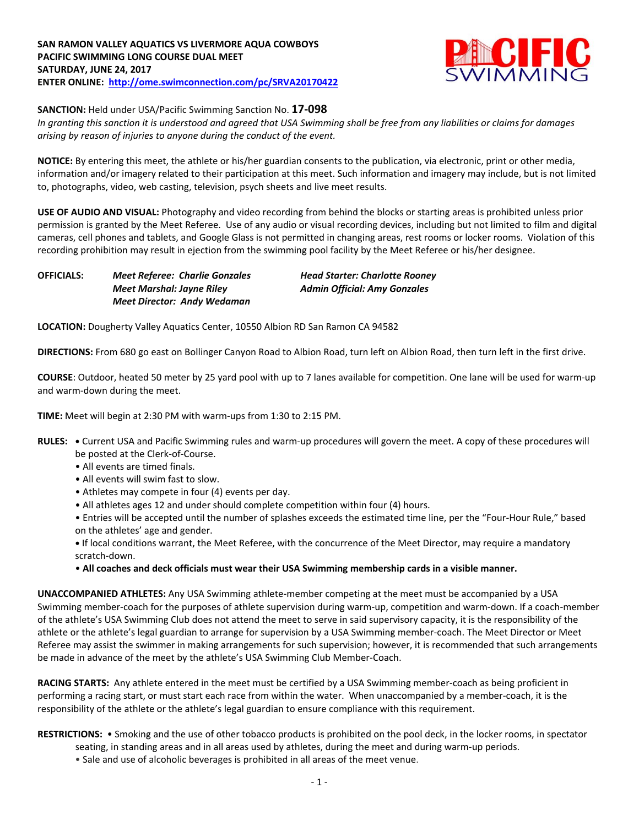

**SANCTION:** Held under USA/Pacific Swimming Sanction No. **17-098**

*In granting this sanction it is understood and agreed that USA Swimming shall be free from any liabilities or claims for damages arising by reason of injuries to anyone during the conduct of the event.*

**NOTICE:** By entering this meet, the athlete or his/her guardian consents to the publication, via electronic, print or other media, information and/or imagery related to their participation at this meet. Such information and imagery may include, but is not limited to, photographs, video, web casting, television, psych sheets and live meet results.

**USE OF AUDIO AND VISUAL:** Photography and video recording from behind the blocks or starting areas is prohibited unless prior permission is granted by the Meet Referee. Use of any audio or visual recording devices, including but not limited to film and digital cameras, cell phones and tablets, and Google Glass is not permitted in changing areas, rest rooms or locker rooms. Violation of this recording prohibition may result in ejection from the swimming pool facility by the Meet Referee or his/her designee.

*Meet Marshal: Jayne Riley Admin Official: Amy Gonzales Meet Director: Andy Wedaman*

**OFFICIALS:** *Meet Referee: Charlie Gonzales Head Starter: Charlotte Rooney*

**LOCATION:** Dougherty Valley Aquatics Center, 10550 Albion RD San Ramon CA 94582

**DIRECTIONS:** From 680 go east on Bollinger Canyon Road to Albion Road, turn left on Albion Road, then turn left in the first drive.

**COURSE**: Outdoor, heated 50 meter by 25 yard pool with up to 7 lanes available for competition. One lane will be used for warm-up and warm-down during the meet.

**TIME:** Meet will begin at 2:30 PM with warm-ups from 1:30 to 2:15 PM.

- **RULES: •** Current USA and Pacific Swimming rules and warm-up procedures will govern the meet. A copy of these procedures will be posted at the Clerk-of-Course.
	- All events are timed finals.
	- All events will swim fast to slow.
	- Athletes may compete in four (4) events per day.
	- All athletes ages 12 and under should complete competition within four (4) hours.
	- Entries will be accepted until the number of splashes exceeds the estimated time line, per the "Four-Hour Rule," based on the athletes' age and gender.
	- If local conditions warrant, the Meet Referee, with the concurrence of the Meet Director, may require a mandatory scratch-down.

• **All coaches and deck officials must wear their USA Swimming membership cards in a visible manner.** 

**UNACCOMPANIED ATHLETES:** Any USA Swimming athlete-member competing at the meet must be accompanied by a USA Swimming member-coach for the purposes of athlete supervision during warm-up, competition and warm-down. If a coach-member of the athlete's USA Swimming Club does not attend the meet to serve in said supervisory capacity, it is the responsibility of the athlete or the athlete's legal guardian to arrange for supervision by a USA Swimming member-coach. The Meet Director or Meet Referee may assist the swimmer in making arrangements for such supervision; however, it is recommended that such arrangements be made in advance of the meet by the athlete's USA Swimming Club Member-Coach.

**RACING STARTS:** Any athlete entered in the meet must be certified by a USA Swimming member-coach as being proficient in performing a racing start, or must start each race from within the water. When unaccompanied by a member-coach, it is the responsibility of the athlete or the athlete's legal guardian to ensure compliance with this requirement.

**RESTRICTIONS:** • Smoking and the use of other tobacco products is prohibited on the pool deck, in the locker rooms, in spectator seating, in standing areas and in all areas used by athletes, during the meet and during warm-up periods.

• Sale and use of alcoholic beverages is prohibited in all areas of the meet venue.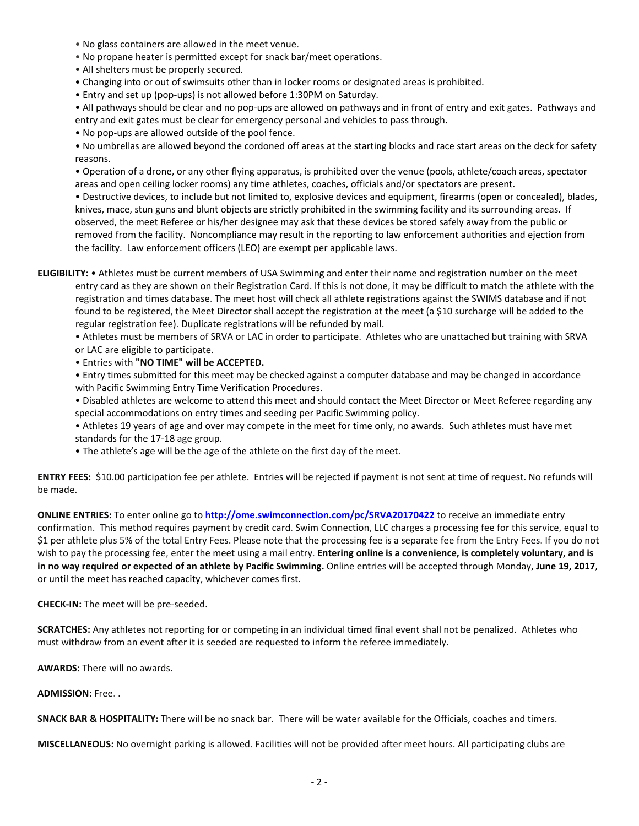- No glass containers are allowed in the meet venue.
- No propane heater is permitted except for snack bar/meet operations.
- All shelters must be properly secured.
- Changing into or out of swimsuits other than in locker rooms or designated areas is prohibited.
- Entry and set up (pop-ups) is not allowed before 1:30PM on Saturday.

• All pathways should be clear and no pop-ups are allowed on pathways and in front of entry and exit gates. Pathways and entry and exit gates must be clear for emergency personal and vehicles to pass through.

• No pop-ups are allowed outside of the pool fence.

• No umbrellas are allowed beyond the cordoned off areas at the starting blocks and race start areas on the deck for safety reasons.

• Operation of a drone, or any other flying apparatus, is prohibited over the venue (pools, athlete/coach areas, spectator areas and open ceiling locker rooms) any time athletes, coaches, officials and/or spectators are present.

• Destructive devices, to include but not limited to, explosive devices and equipment, firearms (open or concealed), blades, knives, mace, stun guns and blunt objects are strictly prohibited in the swimming facility and its surrounding areas. If observed, the meet Referee or his/her designee may ask that these devices be stored safely away from the public or removed from the facility. Noncompliance may result in the reporting to law enforcement authorities and ejection from the facility. Law enforcement officers (LEO) are exempt per applicable laws.

**ELIGIBILITY:** • Athletes must be current members of USA Swimming and enter their name and registration number on the meet entry card as they are shown on their Registration Card. If this is not done, it may be difficult to match the athlete with the registration and times database. The meet host will check all athlete registrations against the SWIMS database and if not found to be registered, the Meet Director shall accept the registration at the meet (a \$10 surcharge will be added to the regular registration fee). Duplicate registrations will be refunded by mail.

• Athletes must be members of SRVA or LAC in order to participate. Athletes who are unattached but training with SRVA or LAC are eligible to participate.

• Entries with **"NO TIME" will be ACCEPTED.**

• Entry times submitted for this meet may be checked against a computer database and may be changed in accordance with Pacific Swimming Entry Time Verification Procedures.

• Disabled athletes are welcome to attend this meet and should contact the Meet Director or Meet Referee regarding any special accommodations on entry times and seeding per Pacific Swimming policy.

• Athletes 19 years of age and over may compete in the meet for time only, no awards. Such athletes must have met standards for the 17-18 age group.

• The athlete's age will be the age of the athlete on the first day of the meet.

**ENTRY FEES:** \$10.00 participation fee per athlete. Entries will be rejected if payment is not sent at time of request. No refunds will be made.

**ONLINE ENTRIES:** To enter online go to **<http://ome.swimconnection.com/pc/SRVA20170422>** to receive an immediate entry confirmation. This method requires payment by credit card. Swim Connection, LLC charges a processing fee for this service, equal to \$1 per athlete plus 5% of the total Entry Fees. Please note that the processing fee is a separate fee from the Entry Fees. If you do not wish to pay the processing fee, enter the meet using a mail entry. **Entering online is a convenience, is completely voluntary, and is in no way required or expected of an athlete by Pacific Swimming.** Online entries will be accepted through Monday, **June 19, 2017**, or until the meet has reached capacity, whichever comes first.

**CHECK-IN:** The meet will be pre-seeded.

**SCRATCHES:** Any athletes not reporting for or competing in an individual timed final event shall not be penalized. Athletes who must withdraw from an event after it is seeded are requested to inform the referee immediately.

**AWARDS:** There will no awards.

**ADMISSION:** Free. .

**SNACK BAR & HOSPITALITY:** There will be no snack bar. There will be water available for the Officials, coaches and timers.

**MISCELLANEOUS:** No overnight parking is allowed. Facilities will not be provided after meet hours. All participating clubs are